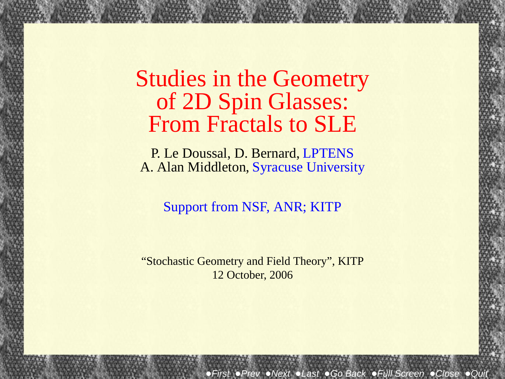# Studies in the Geometry of 2D Spin Glasses: From Fractals to SLE

P. Le Doussal, D. Bernard, LPTENS A. Alan Middleton, Syracuse University

#### Support from NSF, ANR; KITP

"Stochastic Geometry and Field Theory", KITP 12 October, 2006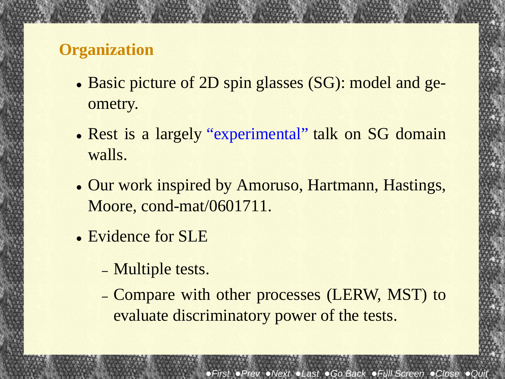### **Organization**

- Basic picture of 2D spin glasses (SG): model and geometry.
- Rest is a largely "experimental" talk on SG domain walls.
- Our work inspired by Amoruso, Hartmann, Hastings, Moore, cond-mat/0601711.
- Evidence for SLE
	- **–** Multiple tests.
	- **–** Compare with other processes (LERW, MST) to evaluate discriminatory power of the tests.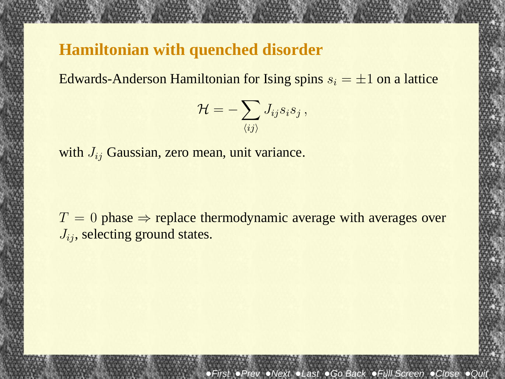### **Hamiltonian with quenched disorder**

Edwards-Anderson Hamiltonian for Ising spins  $s_i = \pm 1$  on a lattice

$$
{\cal H}=-\sum_{\langle ij\rangle} J_{ij} s_i s_j\,,
$$

with  $J_{ij}$  Gaussian, zero mean, unit variance.

 $T = 0$  phase  $\Rightarrow$  replace thermodynamic average with averages over  $J_{ij}$ , selecting ground states.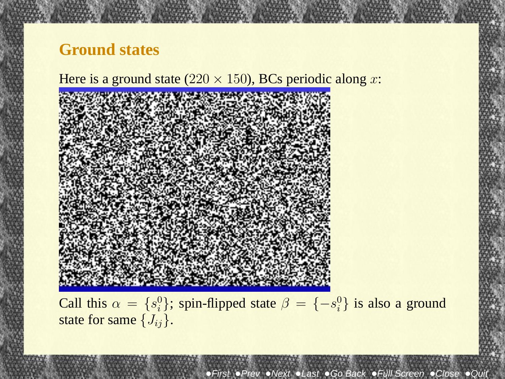### **Ground states**

Here is a ground state ( $220 \times 150$ ), BCs periodic along x:



Call this  $\alpha = \{s_i^0\}$ ; spin-flipped state  $\beta = \{-s_i^0\}$  is also a ground state for same  $\{J_{ij}\}.$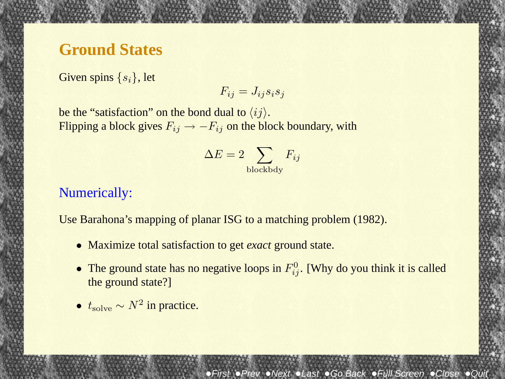### **Ground States**

Given spins  $\{s_i\}$ , let

$$
F_{ij}=J_{ij}s_is_j
$$

be the "satisfaction" on the bond dual to  $\langle ij \rangle$ . Flipping a block gives  $F_{ij} \rightarrow -F_{ij}$  on the block boundary, with

$$
\Delta E = 2 \sum_{\text{blockbdy}} F_{ij}
$$

#### Numerically:

Use Barahona's mapping of planar ISG to a matching problem (1982).

- Maximize total satisfaction to get *exact* ground state.
- The ground state has no negative loops in  $F_{ij}^0$ . [Why do you think it is called the ground state?]
- $t_{\text{solve}} \sim N^2$  in practice.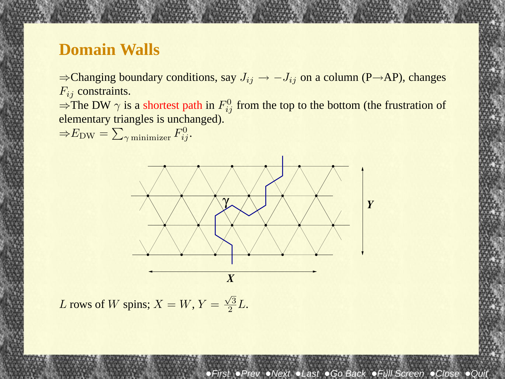### **Domain Walls**

 $\Rightarrow$ Changing boundary conditions, say  $J_{ij} \rightarrow -J_{ij}$  on a column (P $\rightarrow$ AP), changes  $F_{ij}$  constraints.

 $\Rightarrow$ The DW  $\gamma$  is a shortest path in  $F_{ij}^0$  from the top to the bottom (the frustration of elementary triangles is unchanged).

 $\Rightarrow E_{\rm DW} = \sum_{\gamma \text{ minimizer}} F_{ij}^0.$ 



•First • Prev • Next • Last • Go Back • Full Screen • Close • Quit

L rows of W spins;  $X = W$ ,  $Y = \frac{\sqrt{3}}{2}L$ .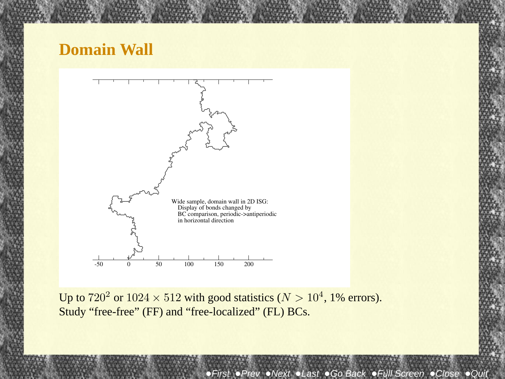### **Domain Wall**



Up to  $720^2$  or  $1024 \times 512$  with good statistics ( $N > 10^4$ , 1% errors). Study "free-free" (FF) and "free-localized" (FL) BCs.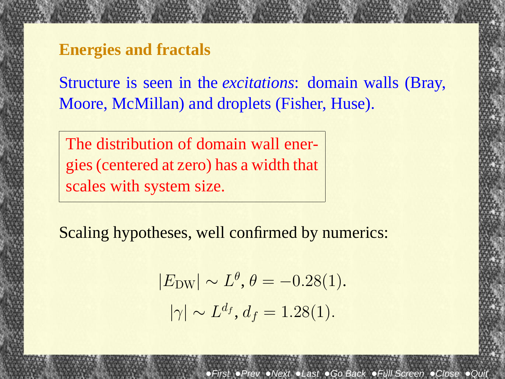### **Energies and fractals**

Structure is seen in the *excitations*: domain walls (Bray, Moore, McMillan) and droplets (Fisher, Huse).

The distribution of domain wall energies (centered at zero) has a width that scales with system size.

Scaling hypotheses, well confirmed by numerics:

$$
|E_{\text{DW}}| \sim L^{\theta}, \theta = -0.28(1).
$$

$$
|\gamma| \sim L^{d_f}, d_f = 1.28(1).
$$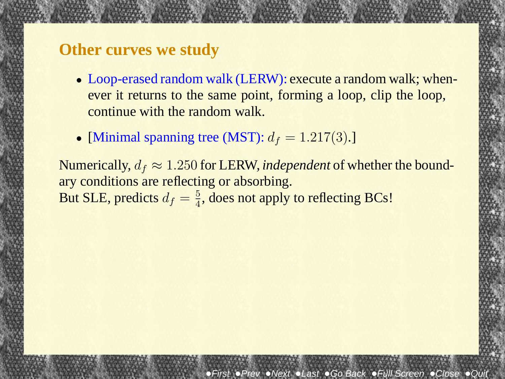### **Other curves we study**

- Loop-erased random walk (LERW): execute a random walk; whenever it returns to the same point, forming a loop, clip the loop, continue with the random walk.
- [Minimal spanning tree (MST):  $d_f = 1.217(3)$ .]

Numerically,  $d_f \approx 1.250$  for LERW, *independent* of whether the boundary conditions are reflecting or absorbing. But SLE, predicts  $d_f = \frac{5}{4}$  $\frac{5}{4}$ , does not apply to reflecting BCs!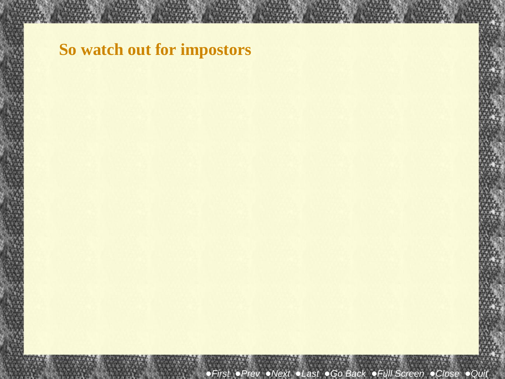## **So watch out for impostors**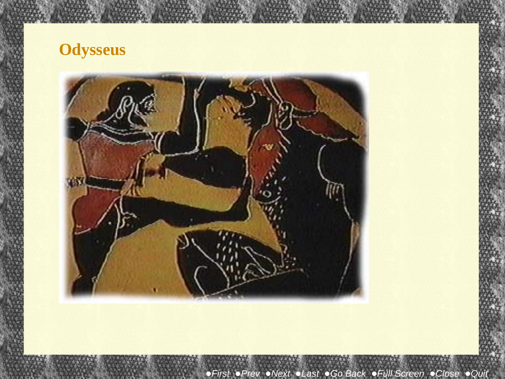## **Odysseus**

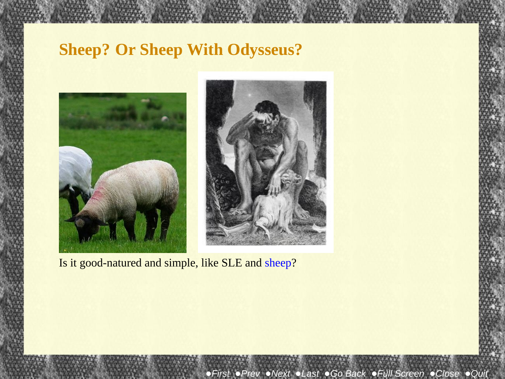## **Sheep? Or Sheep With Odysseus?**



Is it good-natured and simple, like SLE and sheep?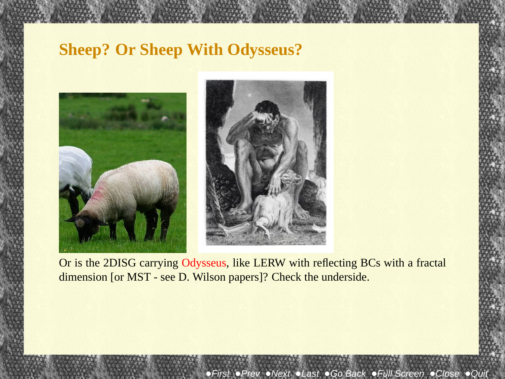## **Sheep? Or Sheep With Odysseus?**



Or is the 2DISG carrying Odysseus, like LERW with reflecting BCs with a fractal dimension [or MST - see D. Wilson papers]? Check the underside.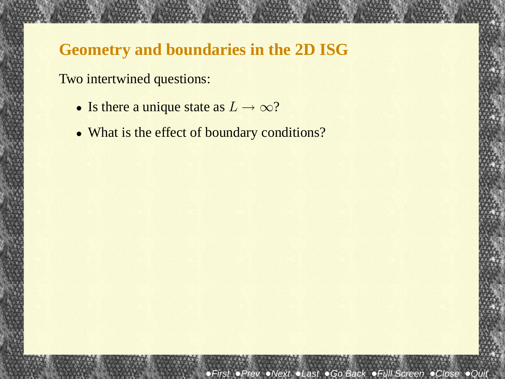### **Geometry and boundaries in the 2D ISG**

Two intertwined questions:

- Is there a unique state as  $L \rightarrow \infty$ ?
- What is the effect of boundary conditions?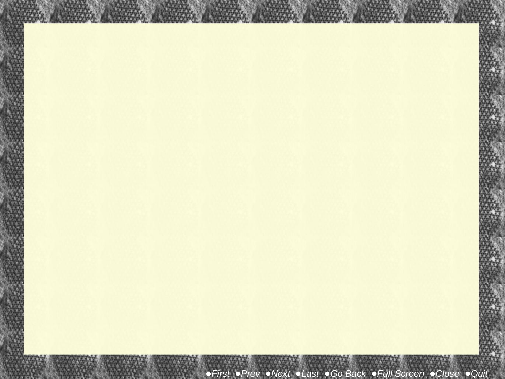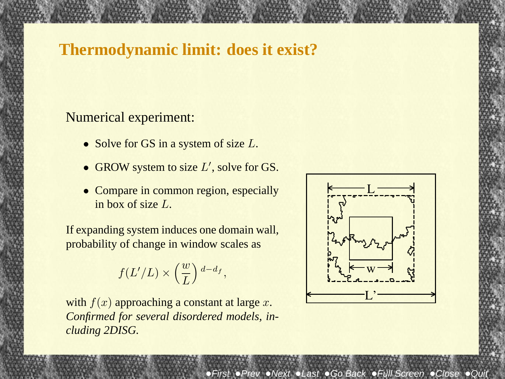### **Thermodynamic limit: does it exist?**

#### Numerical experiment:

- Solve for GS in a system of size  $L$ .
- GROW system to size  $L'$ , solve for GS.
- Compare in common region, especially in box of size L.

If expanding system induces one domain wall, probability of change in window scales as

$$
f(L'/L) \times \left(\frac{w}{L}\right)^{d-d_f},
$$

with  $f(x)$  approaching a constant at large x. *Confirmed for several disordered models, including 2DISG.*

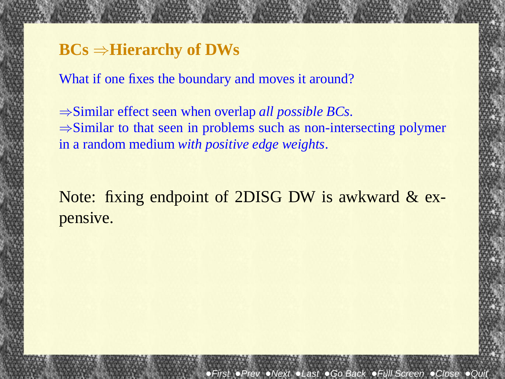### **BCs** ⇒**Hierarchy of DWs**

What if one fixes the boundary and moves it around?

⇒Similar effect seen when overlap *all possible BCs.* ⇒Similar to that seen in problems such as non-intersecting polymer in a random medium *with positive edge weights*.

Note: fixing endpoint of 2DISG DW is awkward & expensive.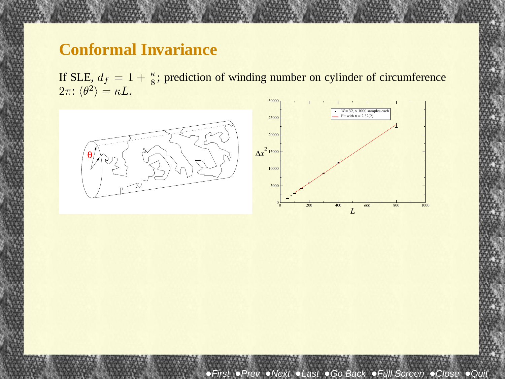## **Conformal Invariance**

If SLE,  $d_f = 1 + \frac{\kappa}{8}$ ; prediction of winding number on cylinder of circumference  $2\pi$ :  $\langle \theta^2 \rangle = \kappa L$ .



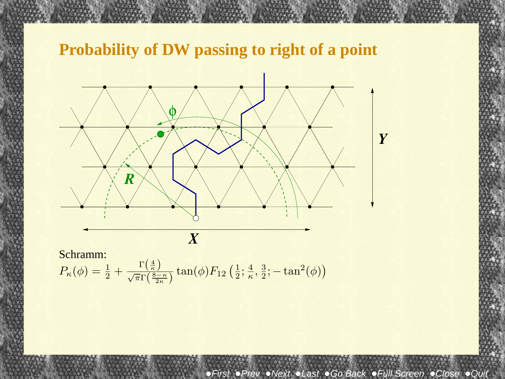## **Probability of DW passing to right of a point**



#### Schramm:

$$
P_{\kappa}(\phi) = \frac{1}{2} + \frac{\Gamma(\frac{4}{\kappa})}{\sqrt{\pi}\Gamma(\frac{8-\kappa}{2\kappa})} \tan(\phi) F_{12}\left(\frac{1}{2}; \frac{4}{\kappa}, \frac{3}{2}; -\tan^2(\phi)\right)
$$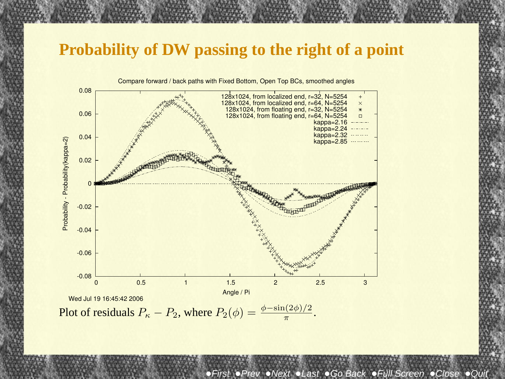### **Probability of DW passing to the right of a point**

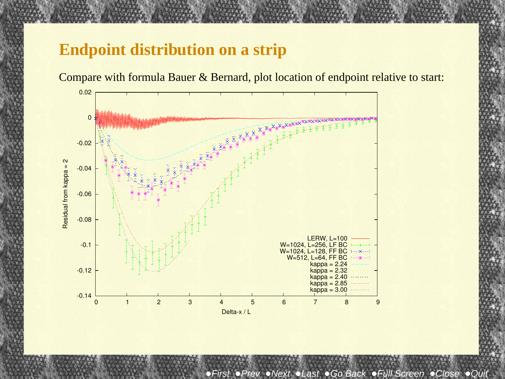### **Endpoint distribution on a strip**

Compare with formula Bauer & Bernard, plot location of endpoint relative to start:

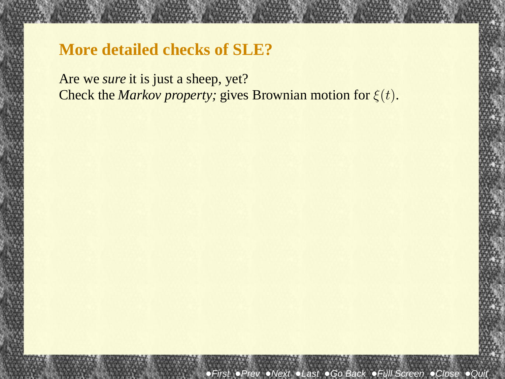### **More detailed checks of SLE?**

Are we *sure* it is just a sheep, yet? Check the *Markov property;* gives Brownian motion for  $\xi(t)$ .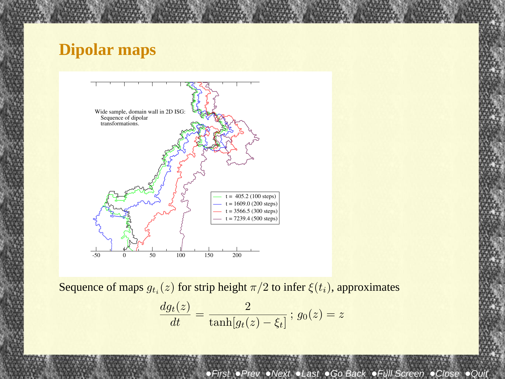## **Dipolar maps**



Sequence of maps  $g_{t_i}(z)$  for strip height  $\pi/2$  to infer  $\xi(t_i)$ , approximates

$$
\frac{dg_t(z)}{dt} = \frac{2}{\tanh[g_t(z) - \xi_t]} \, ; \, g_0(z) = z
$$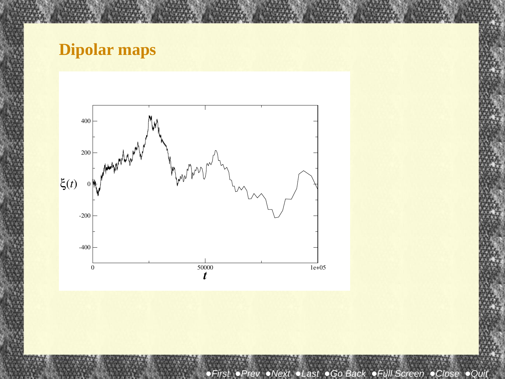## **Dipolar maps**

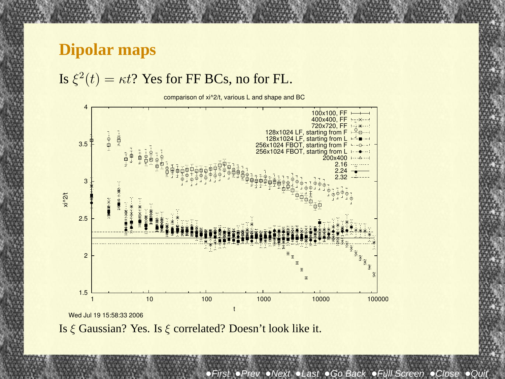### **Dipolar maps**

Is  $\xi^2(t) = \kappa t$ ? Yes for FF BCs, no for FL.

comparison of xi^2/t, various L and shape and BC



Is ξ Gaussian? Yes. Is ξ correlated? Doesn't look like it.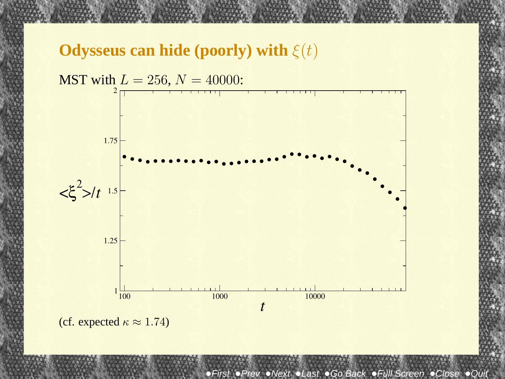### **Odysseus can hide (poorly) with**  $\xi(t)$



(cf. expected  $\kappa \approx 1.74$ )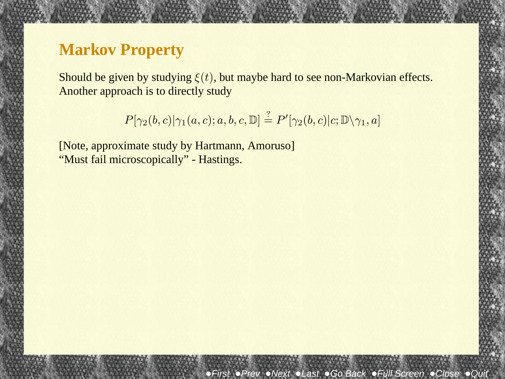### **Markov Property**

Should be given by studying  $\xi(t)$ , but maybe hard to see non-Markovian effects. Another approach is to directly study

$$
P[\gamma_2(b,c)|\gamma_1(a,c);a,b,c,\mathbb{D}] \stackrel{?}{=} P'[\gamma_2(b,c)|c;\mathbb{D}\backslash\gamma_1,a]
$$

[Note, approximate study by Hartmann, Amoruso] "Must fail microscopically" - Hastings.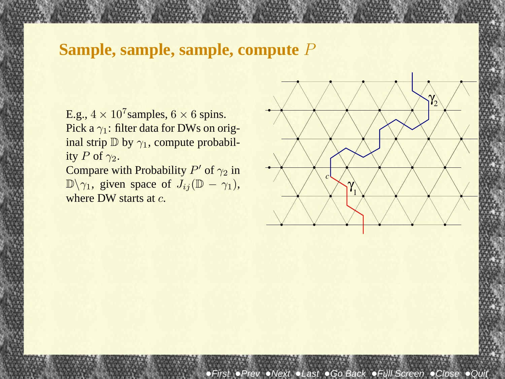### **Sample, sample, sample, compute** P

E.g.,  $4 \times 10^7$  samples,  $6 \times 6$  spins. Pick a  $\gamma_1$ : filter data for DWs on original strip  $\mathbb D$  by  $\gamma_1$ , compute probability P of  $\gamma_2$ .

Compare with Probability  $P'$  of  $\gamma_2$  in  $\mathbb{D}\setminus \gamma_1$ , given space of  $J_{ij}(\mathbb{D} - \gamma_1)$ ,

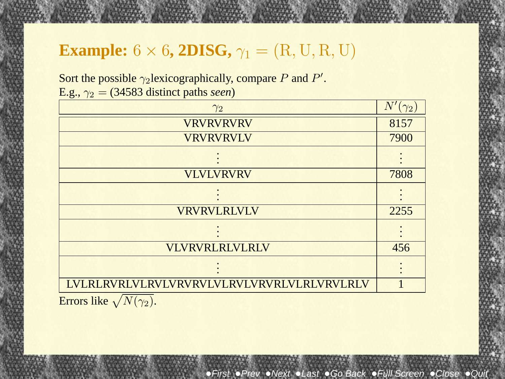## **Example:**  $6 \times 6$ , **2DISG**,  $\gamma_1 = (R, U, R, U)$

Sort the possible  $\gamma_2$  lexicographically, compare P and P'. E.g.,  $\gamma_2$  = (34583 distinct paths *seen*)

| $\gamma_2$                                                                                                                                                                                                                                                                                                                                        |      |
|---------------------------------------------------------------------------------------------------------------------------------------------------------------------------------------------------------------------------------------------------------------------------------------------------------------------------------------------------|------|
| <b>VRVRVRVRV</b>                                                                                                                                                                                                                                                                                                                                  | 8157 |
| <b>VRVRVRVLV</b>                                                                                                                                                                                                                                                                                                                                  | 7900 |
|                                                                                                                                                                                                                                                                                                                                                   |      |
| <b>VLVLVRVRV</b>                                                                                                                                                                                                                                                                                                                                  | 7808 |
|                                                                                                                                                                                                                                                                                                                                                   |      |
| <b>VRVRVLRLVLV</b>                                                                                                                                                                                                                                                                                                                                | 2255 |
|                                                                                                                                                                                                                                                                                                                                                   |      |
| <b>VLVRVRLRLVLRLV</b>                                                                                                                                                                                                                                                                                                                             | 456  |
|                                                                                                                                                                                                                                                                                                                                                   |      |
| LVLRLRVRLVLRVLVRVRVLVLRVLVRVRLVLRLVRVLRLV                                                                                                                                                                                                                                                                                                         |      |
| $\sqrt{3}T$<br>$\mathbf{r}$ $\mathbf{r}$ $\mathbf{r}$ $\mathbf{r}$ $\mathbf{r}$ $\mathbf{r}$ $\mathbf{r}$ $\mathbf{r}$ $\mathbf{r}$ $\mathbf{r}$ $\mathbf{r}$ $\mathbf{r}$ $\mathbf{r}$ $\mathbf{r}$ $\mathbf{r}$ $\mathbf{r}$ $\mathbf{r}$ $\mathbf{r}$ $\mathbf{r}$ $\mathbf{r}$ $\mathbf{r}$ $\mathbf{r}$ $\mathbf{r}$ $\mathbf{r}$ $\mathbf{$ |      |

Errors like  $\sqrt{N(\gamma_2)}$ .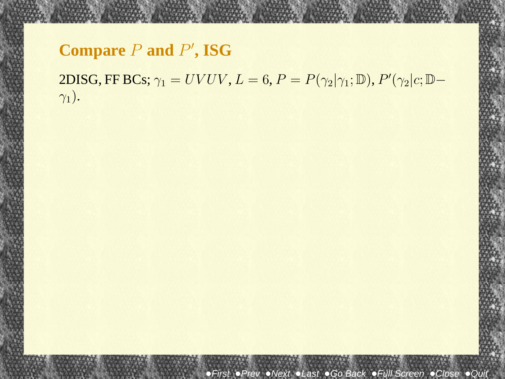## **Compare** P **and** P 0 **, ISG**

2DISG, FF BCs;  $\gamma_1 = UVUV$ ,  $L = 6$ ,  $P = P(\gamma_2 | \gamma_1; \mathbb{D})$ ,  $P'(\gamma_2 | c; \mathbb{D} - \mathbb{D})$  $\gamma_1$ ).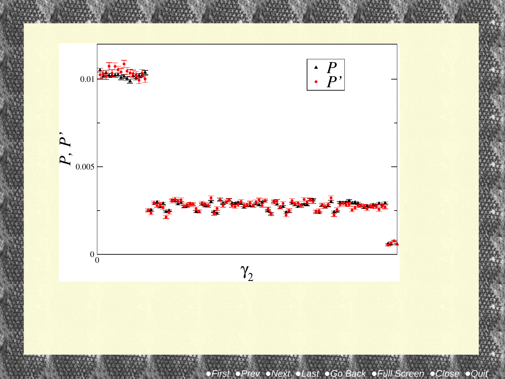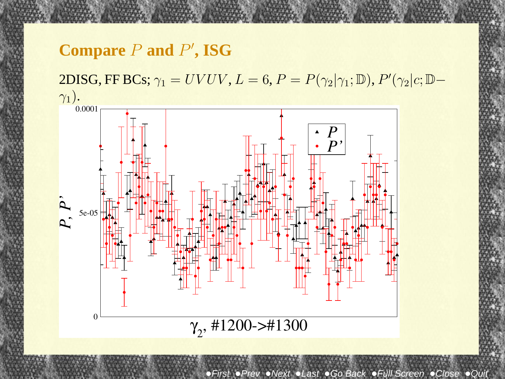## **Compare** P **and** P 0 **, ISG**

2DISG, FF BCs;  $\gamma_1 = UVUV$ ,  $L = 6$ ,  $P = P(\gamma_2 | \gamma_1; \mathbb{D})$ ,  $P'(\gamma_2 | c; \mathbb{D} - \mathbb{D})$ 

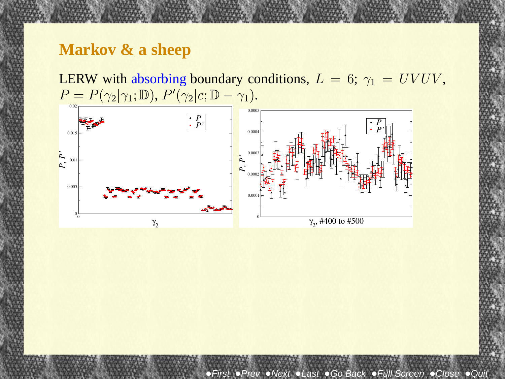### **Markov & a sheep**

LERW with absorbing boundary conditions,  $L = 6$ ;  $\gamma_1 = UVUV$ ,  $P = P(\gamma_2 | \gamma_1; \mathbb{D}), P(\gamma_2 | c; \mathbb{D} - \gamma_1).$ 

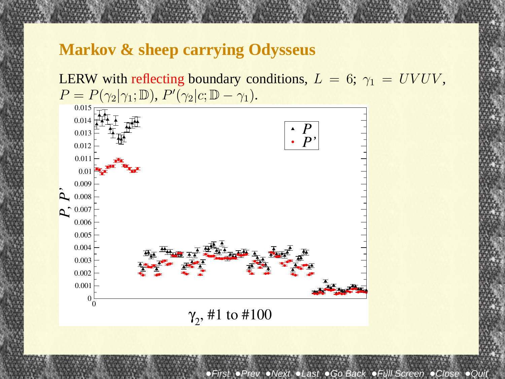### **Markov & sheep carrying Odysseus**

LERW with reflecting boundary conditions,  $L = 6$ ;  $\gamma_1 = UVUV$ ,  $P = P(\gamma_2 | \gamma_1; \mathbb{D}), P(\gamma_2 | c; \mathbb{D} - \gamma_1).$ 

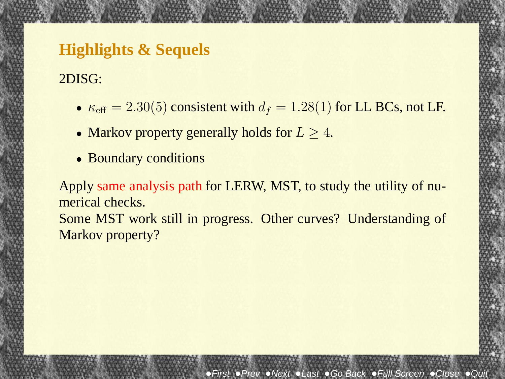### **Highlights & Sequels**

### 2DISG:

- $\kappa_{\text{eff}} = 2.30(5)$  consistent with  $d_f = 1.28(1)$  for LL BCs, not LF.
- Markov property generally holds for  $L \geq 4$ .
- Boundary conditions

Apply same analysis path for LERW, MST, to study the utility of numerical checks. Some MST work still in progress. Other curves? Understanding of Markov property?